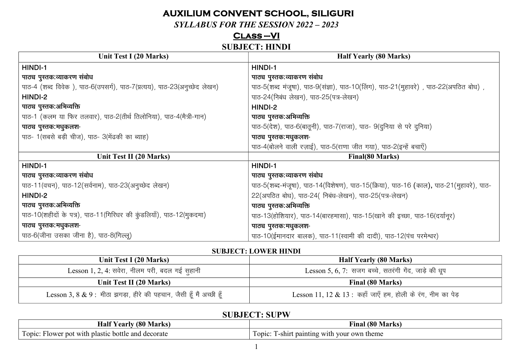### **AUXILIUM CONVENT SCHOOL, SILIGURI**

**SYLLABUS FOR THE SESSION 2022 - 2023** 

# $CLASS-VI$

#### **SUBJECT: HINDI**

| Unit Test I (20 Marks)                                                   | <b>Half Yearly (80 Marks)</b>                                                           |
|--------------------------------------------------------------------------|-----------------------------------------------------------------------------------------|
| HINDI-1                                                                  | HINDI-1                                                                                 |
| पाठ्य पुस्तक:व्याकरण संबोध                                               | पाठ्य पुस्तक:व्याकरण संबोध                                                              |
| पाठ-4 (शब्द विवेक), पाठ-6(उपसर्ग), पाठ-7(प्रत्यय), पाठ-23(अनुच्छेद लेखन) | पाठ-5(शब्द मंजूषा), पाठ-9(संज्ञा), पाठ-10(लिंग), पाठ-21(मुहावरे), पाठ-22(अपठित बोध),    |
| HINDI-2                                                                  | पाठ-24(निबंध लेखन), पाठ-25(पत्र-लेखन)                                                   |
| पाठ्य पुस्तक:अभिव्यक्ति                                                  | HINDI-2                                                                                 |
| पाठ-1 (कलम या फिर तलवार), पाठ-2(तीर्थ तिलोनिया), पाठ-4(मैत्री-गान)       | पाठ्य पुस्तक:अभिव्यक्ति                                                                 |
| पाठ्य पुस्तक:मधुकलश-                                                     | पाठ-5(देश), पाठ-6(बातूनी), पाठ-7(राजा), पाठ- 9(दुनिया से परे दुनिया)                    |
| पाठ- 1 (सबसे बड़ी चीज), पाठ- 3 (मेंढकी का ब्याह)                         | पाठ्य पुस्तक:मधुकलश-                                                                    |
|                                                                          | पाठ-4(बोलने वाली रज़ाई), पाठ-5(राणा जीत गया), पाठ-2(इन्हें बचाएँ)                       |
| Unit Test II (20 Marks)                                                  | <b>Final(80 Marks)</b>                                                                  |
| HINDI-1                                                                  | HINDI-1                                                                                 |
| पाठ्य पुस्तक:व्याकरण संबोध                                               | पाठ्य पुस्तक:व्याकरण संबोध                                                              |
| पाठ-11(वचन), पाठ-12(सर्वनाम), पाठ-23(अनुच्छेद लेखन)                      | पाठ-5(शब्द-मंजूषा), पाठ-14(विशेषण), पाठ-15(क्रिया), पाठ-16 (काल), पाठ-21(मुहावरे), पाठ- |
| HINDI-2                                                                  | 22(अपठित बोध), पाठ-24( निबंध-लेखन), पाठ-25(पत्र-लेखन)                                   |
| पाठ्य पुस्तक:अभिव्यक्ति                                                  | पाठ्य पुस्तक:अभिव्यक्ति                                                                 |
| पाठ-10(शहीदों के पत्र), पाठ-11(गिरिधर की कुंडलियाँ), पाठ-12(मुकदमा)      | पाठ-13(होशियार), पाठ-14(बारहमासा), पाठ-15(खाने की इच्छा, पाठ-16(दर्यानूर)               |
| पाठ्य पुस्तक:मधुकलश-                                                     | पाठ्य पुस्तक:मधुकलश-                                                                    |
| पाठ-6(जीना उसका जीना है), पाठ-8(गिल्लू)                                  | पाठ-10(ईमानदार बालक), पाठ-11(स्वामी की दादी), पाठ-12(पंच परमेश्वर)                      |

#### **SUBJECT: LOWER HINDI**

| Unit Test I (20 Marks)                                              | <b>Half Yearly (80 Marks)</b>                               |
|---------------------------------------------------------------------|-------------------------------------------------------------|
| Lesson 1, 2, 4: सवेरा, नीलम परी, बदल गई सूहानी                      | Lesson 5, 6, 7: सजग बच्चे, सतरंगी गेंद, जाड़े की धूप        |
| Unit Test II (20 Marks)                                             | Final (80 Marks)                                            |
| Lesson 3, 8 & 9 : मीठा झगड़ा, हीरे की पहचान, जैसी हूँ मैं अच्छी हूँ | Lesson 11, 12 & 13 : कहाँ जाएँ हम, होली के रंग, नीम का पेड़ |

### **SUBJECT: SUPW**

| $(80$ Marks)<br>$H$ alf $V$<br><b>Yearly</b>       | ⊷<br>Final (80 Marks)                |
|----------------------------------------------------|--------------------------------------|
| $\mathbf{r}$                                       | I-shirt painting with your own theme |
| Topic: Flower pot with plastic bottle and decorate | Fopic:                               |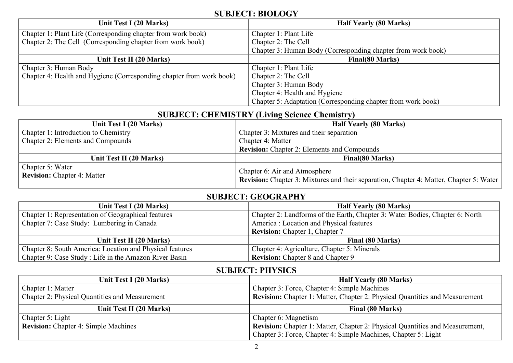### **SUBJECT: BIOLOGY**

| Unit Test I (20 Marks)                                               | <b>Half Yearly (80 Marks)</b>                                |
|----------------------------------------------------------------------|--------------------------------------------------------------|
| Chapter 1: Plant Life (Corresponding chapter from work book)         | Chapter 1: Plant Life                                        |
| Chapter 2: The Cell (Corresponding chapter from work book)           | Chapter 2: The Cell                                          |
|                                                                      | Chapter 3: Human Body (Corresponding chapter from work book) |
| Unit Test II (20 Marks)                                              | Final(80 Marks)                                              |
| Chapter 3: Human Body                                                | Chapter 1: Plant Life                                        |
| Chapter 4: Health and Hygiene (Corresponding chapter from work book) | Chapter 2: The Cell                                          |
|                                                                      | Chapter 3: Human Body                                        |
|                                                                      | Chapter 4: Health and Hygiene                                |
|                                                                      | Chapter 5: Adaptation (Corresponding chapter from work book) |

# **SUBJECT: CHEMISTRY (Living Science Chemistry)**

| Unit Test I (20 Marks)                                 | <b>Half Yearly (80 Marks)</b>                                                                                                   |
|--------------------------------------------------------|---------------------------------------------------------------------------------------------------------------------------------|
| <b>Chapter 1: Introduction to Chemistry</b>            | Chapter 3: Mixtures and their separation                                                                                        |
| <b>Chapter 2: Elements and Compounds</b>               | Chapter 4: Matter                                                                                                               |
|                                                        | <b>Revision:</b> Chapter 2: Elements and Compounds                                                                              |
| Unit Test II (20 Marks)                                | <b>Final(80 Marks)</b>                                                                                                          |
| Chapter 5: Water<br><b>Revision:</b> Chapter 4: Matter | Chapter 6: Air and Atmosphere<br><b>Revision:</b> Chapter 3: Mixtures and their separation, Chapter 4: Matter, Chapter 5: Water |

#### **SUBJECT: GEOGRAPHY**

| Unit Test I (20 Marks)                                   | <b>Half Yearly (80 Marks)</b>                                                |
|----------------------------------------------------------|------------------------------------------------------------------------------|
| Chapter 1: Representation of Geographical features       | Chapter 2: Landforms of the Earth, Chapter 3: Water Bodies, Chapter 6: North |
| Chapter 7: Case Study: Lumbering in Canada               | America: Location and Physical features                                      |
|                                                          | <b>Revision:</b> Chapter 1, Chapter 7                                        |
| Unit Test II (20 Marks)                                  | Final (80 Marks)                                                             |
| Chapter 8: South America: Location and Physical features | Chapter 4: Agriculture, Chapter 5: Minerals                                  |
| Chapter 9: Case Study: Life in the Amazon River Basin    | <b>Revision:</b> Chapter 8 and Chapter 9                                     |

#### **SUBJECT: PHYSICS**

| Unit Test I (20 Marks)                                | <b>Half Yearly (80 Marks)</b>                                                      |
|-------------------------------------------------------|------------------------------------------------------------------------------------|
| Chapter 1: Matter                                     | Chapter 3: Force, Chapter 4: Simple Machines                                       |
| <b>Chapter 2: Physical Quantities and Measurement</b> | <b>Revision:</b> Chapter 1: Matter, Chapter 2: Physical Quantities and Measurement |
| Unit Test II (20 Marks)                               | Final (80 Marks)                                                                   |
| Chapter 5: Light                                      | Chapter 6: Magnetism                                                               |
| <b>Revision:</b> Chapter 4: Simple Machines           | Revision: Chapter 1: Matter, Chapter 2: Physical Quantities and Measurement,       |
|                                                       | Chapter 3: Force, Chapter 4: Simple Machines, Chapter 5: Light                     |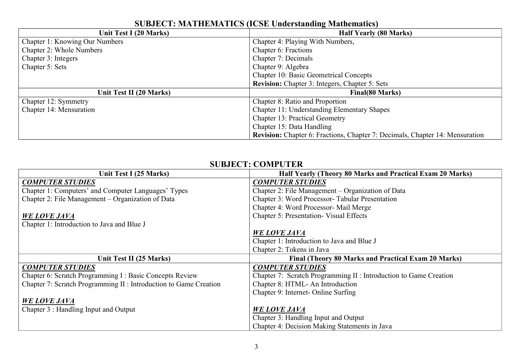| Unit Test I (20 Marks)                | <b>Half Yearly (80 Marks)</b>                                                |
|---------------------------------------|------------------------------------------------------------------------------|
| <b>Chapter 1: Knowing Our Numbers</b> | Chapter 4: Playing With Numbers,                                             |
| <b>Chapter 2: Whole Numbers</b>       | Chapter 6: Fractions                                                         |
| Chapter 3: Integers                   | Chapter 7: Decimals                                                          |
| Chapter 5: Sets                       | Chapter 9: Algebra                                                           |
|                                       | <b>Chapter 10: Basic Geometrical Concepts</b>                                |
|                                       | <b>Revision:</b> Chapter 3: Integers, Chapter 5: Sets                        |
| Unit Test II (20 Marks)               | Final(80 Marks)                                                              |
| Chapter 12: Symmetry                  | Chapter 8: Ratio and Proportion                                              |
| Chapter 14: Mensuration               | Chapter 11: Understanding Elementary Shapes                                  |
|                                       | <b>Chapter 13: Practical Geometry</b>                                        |
|                                       | Chapter 15: Data Handling                                                    |
|                                       | Revision: Chapter 6: Fractions, Chapter 7: Decimals, Chapter 14: Mensuration |

### **SUBJECT: MATHEMATICS (ICSE Understanding Mathematics)**

#### **SUBJECT: COMPUTER**

| Unit Test I (25 Marks)                                            | Half Yearly (Theory 80 Marks and Practical Exam 20 Marks)         |
|-------------------------------------------------------------------|-------------------------------------------------------------------|
| <b>COMPUTER STUDIES</b>                                           | <b>COMPUTER STUDIES</b>                                           |
| Chapter 1: Computers' and Computer Languages' Types               | Chapter 2: File Management – Organization of Data                 |
| Chapter 2: File Management - Organization of Data                 | Chapter 3: Word Processor- Tabular Presentation                   |
|                                                                   | Chapter 4: Word Processor- Mail Merge                             |
| <b>WE LOVE JAVA</b>                                               | <b>Chapter 5: Presentation- Visual Effects</b>                    |
| Chapter 1: Introduction to Java and Blue J                        |                                                                   |
|                                                                   | <b>WE LOVE JAVA</b>                                               |
|                                                                   | Chapter 1: Introduction to Java and Blue J                        |
|                                                                   | Chapter 2: Tokens in Java                                         |
| Unit Test II (25 Marks)                                           | Final (Theory 80 Marks and Practical Exam 20 Marks)               |
| <b>COMPUTER STUDIES</b>                                           | <b>COMPUTER STUDIES</b>                                           |
| Chapter 6: Scratch Programming I : Basic Concepts Review          | Chapter 7: Scratch Programming II : Introduction to Game Creation |
| Chapter 7: Scratch Programming II : Introduction to Game Creation | Chapter 8: HTML- An Introduction                                  |
|                                                                   | Chapter 9: Internet- Online Surfing                               |
| <b>WE LOVE JAVA</b>                                               |                                                                   |
| Chapter 3 : Handling Input and Output                             | <b>WE LOVE JAVA</b>                                               |
|                                                                   | Chapter 3: Handling Input and Output                              |
|                                                                   | Chapter 4: Decision Making Statements in Java                     |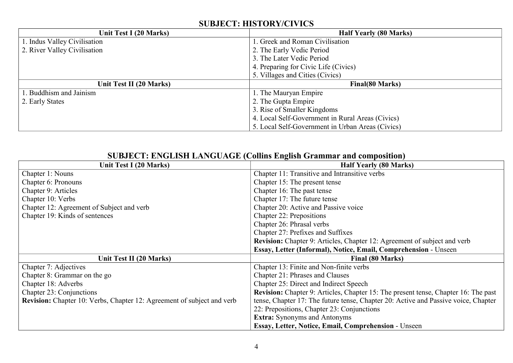### **SUBJECT: HISTORY/CIVICS**

| Unit Test I (20 Marks)       | <b>Half Yearly (80 Marks)</b>                    |
|------------------------------|--------------------------------------------------|
| 1. Indus Valley Civilisation | . Greek and Roman Civilisation                   |
| 2. River Valley Civilisation | 2. The Early Vedic Period                        |
|                              | 3. The Later Vedic Period                        |
|                              | 4. Preparing for Civic Life (Civics)             |
|                              | 5. Villages and Cities (Civics)                  |
| Unit Test II (20 Marks)      | <b>Final(80 Marks)</b>                           |
| 1. Buddhism and Jainism      | 1. The Mauryan Empire                            |
| 2. Early States              | 2. The Gupta Empire                              |
|                              | 3. Rise of Smaller Kingdoms                      |
|                              | 4. Local Self-Government in Rural Areas (Civics) |
|                              | 5. Local Self-Government in Urban Areas (Civics) |

| SUDJECT, ERGEBIL LARGUAGE (COMMS ENGISH GLAMMAL AND COMPOSITON)        |                                                                                    |
|------------------------------------------------------------------------|------------------------------------------------------------------------------------|
| Unit Test I (20 Marks)                                                 | <b>Half Yearly (80 Marks)</b>                                                      |
| Chapter 1: Nouns                                                       | Chapter 11: Transitive and Intransitive verbs                                      |
| Chapter 6: Pronouns                                                    | Chapter 15: The present tense                                                      |
| Chapter 9: Articles                                                    | Chapter 16: The past tense                                                         |
| Chapter 10: Verbs                                                      | Chapter 17: The future tense                                                       |
| Chapter 12: Agreement of Subject and verb                              | Chapter 20: Active and Passive voice                                               |
| Chapter 19: Kinds of sentences                                         | Chapter 22: Prepositions                                                           |
|                                                                        | Chapter 26: Phrasal verbs                                                          |
|                                                                        | Chapter 27: Prefixes and Suffixes                                                  |
|                                                                        | <b>Revision:</b> Chapter 9: Articles, Chapter 12: Agreement of subject and verb    |
|                                                                        | Essay, Letter (Informal), Notice, Email, Comprehension - Unseen                    |
| Unit Test II (20 Marks)                                                | Final (80 Marks)                                                                   |
| Chapter 7: Adjectives                                                  | Chapter 13: Finite and Non-finite verbs                                            |
| Chapter 8: Grammar on the go                                           | Chapter 21: Phrases and Clauses                                                    |
| Chapter 18: Adverbs                                                    | Chapter 25: Direct and Indirect Speech                                             |
| Chapter 23: Conjunctions                                               | Revision: Chapter 9: Articles, Chapter 15: The present tense, Chapter 16: The past |
| Revision: Chapter 10: Verbs, Chapter 12: Agreement of subject and verb | tense, Chapter 17: The future tense, Chapter 20: Active and Passive voice, Chapter |
|                                                                        | 22: Prepositions, Chapter 23: Conjunctions                                         |
|                                                                        | <b>Extra:</b> Synonyms and Antonyms                                                |
|                                                                        | Essay, Letter, Notice, Email, Comprehension - Unseen                               |

#### **SUBJECT: ENGLISH LANGUAGE (Collins English Grammar and composition)**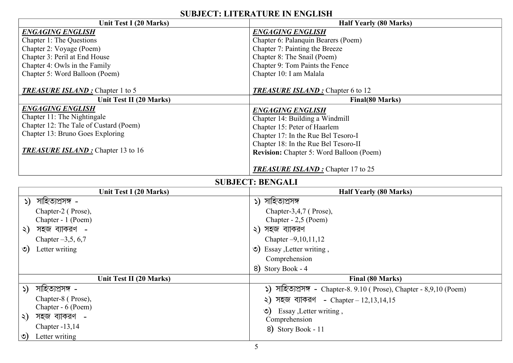### **SUBJECT: LITERATURE IN ENGLISH**

| Unit Test I (20 Marks)                   | SUDJECI, ELIEIVAI UNE IN ENGLISH<br><b>Half Yearly (80 Marks)</b>     |
|------------------------------------------|-----------------------------------------------------------------------|
| <b>ENGAGING ENGLISH</b>                  | <b>ENGAGING ENGLISH</b>                                               |
| Chapter 1: The Questions                 | Chapter 6: Palanquin Bearers (Poem)                                   |
| Chapter 2: Voyage (Poem)                 | Chapter 7: Painting the Breeze                                        |
| Chapter 3: Peril at End House            | Chapter 8: The Snail (Poem)                                           |
| Chapter 4: Owls in the Family            | Chapter 9: Tom Paints the Fence                                       |
| Chapter 5: Word Balloon (Poem)           | Chapter 10: I am Malala                                               |
| <b>TREASURE ISLAND:</b> Chapter 1 to 5   | <b>TREASURE ISLAND:</b> Chapter 6 to 12                               |
| Unit Test II (20 Marks)                  | <b>Final(80 Marks)</b>                                                |
| <b>ENGAGING ENGLISH</b>                  | <b>ENGAGING ENGLISH</b>                                               |
| Chapter 11: The Nightingale              | Chapter 14: Building a Windmill                                       |
| Chapter 12: The Tale of Custard (Poem)   | Chapter 15: Peter of Haarlem                                          |
| Chapter 13: Bruno Goes Exploring         | Chapter 17: In the Rue Bel Tesoro-I                                   |
|                                          | Chapter 18: In the Rue Bel Tesoro-II                                  |
| <b>TREASURE ISLAND:</b> Chapter 13 to 16 | <b>Revision:</b> Chapter 5: Word Balloon (Poem)                       |
|                                          |                                                                       |
|                                          | <b>TREASURE ISLAND</b> : Chapter 17 to 25                             |
|                                          | <b>SUBJECT: BENGALI</b>                                               |
| Unit Test I (20 Marks)                   | <b>Half Yearly (80 Marks)</b>                                         |
| সাহিত্যপ্ৰসঙ্গ -<br>$\mathcal{L}$        | ১) সাহিত্যপ্ৰসঙ্গ                                                     |
| Chapter-2 (Prose),                       | Chapter-3,4,7 (Prose),                                                |
| Chapter - 1 (Poem)                       | Chapter - 2,5 (Poem)                                                  |
| সহজ ব্যাকরণ -<br>২)                      | ২) সহজ ব্যাকরণ                                                        |
| Chapter $-3,5,6,7$                       | Chapter $-9,10,11,12$                                                 |
| Letter writing<br>৩)                     | $\circ$ ) Essay, Letter writing,                                      |
|                                          | Comprehension                                                         |
|                                          | 8) Story Book - 4                                                     |
| Unit Test II (20 Marks)                  | Final (80 Marks)                                                      |
| ১) সাহিত্যপ্ৰসঙ্গ -                      | ১) সাহিত্যপ্ৰসঙ্গ - Chapter-8. 9.10 ( Prose), Chapter - 8,9,10 (Poem) |
| Chapter-8 (Prose),                       | ২) সহজ ব্যাকরণ - Chapter - $12,13,14,15$                              |
| Chapter - 6 (Poem)                       | $\circ$ ) Essay, Letter writing,                                      |
| সহজ ব্যাকরণ -<br>$\zeta$                 | Comprehension                                                         |
| Chapter -13,14                           | 8) Story Book - 11                                                    |
| Letter writing<br>৩)                     |                                                                       |